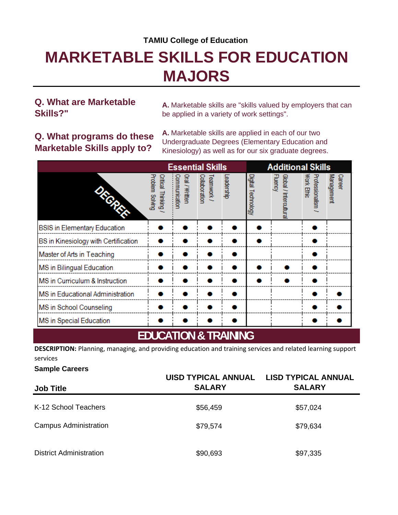#### **TAMIU College of Education**

# **MARKETABLE SKILLS FOR EDUCATION MAJORS**

#### **Q. What are Marketable Skills?"**

**A.** Marketable skills are "skills valued by employers that can be applied in a variety of work settings".

### **Q. What programs do these Marketable Skills apply to?**

**A.** Marketable skills are applied in each of our two Undergraduate Degrees (Elementary Education and Kinesiology) as well as for our six graduate degrees.

|                                      |                                      |                                 | <b>Essential Skills</b>     |            |                    | <b>Additional Skills</b>                 |                               |                      |
|--------------------------------------|--------------------------------------|---------------------------------|-----------------------------|------------|--------------------|------------------------------------------|-------------------------------|----------------------|
| <b>Side Cape</b>                     | Problem Solving<br>Critical Thinking | Oral / Writter<br>Communication | Collaboration<br>Teamwork / | Leadership | Digital Technology | <b>Fluency</b><br>Global / Intercultural | Work Ethic<br>Professionalism | Management<br>Career |
| <b>BSIS</b> in Elementary Education  |                                      |                                 |                             |            |                    |                                          |                               |                      |
| BS in Kinesiology with Certification |                                      |                                 |                             |            |                    |                                          |                               |                      |
| Master of Arts in Teaching           |                                      |                                 |                             |            |                    |                                          |                               |                      |
| MS in Bilingual Education            |                                      |                                 |                             |            |                    |                                          |                               |                      |
| MS in Curriculum & Instruction       |                                      |                                 |                             |            |                    |                                          |                               |                      |
| MS in Educational Administration     |                                      |                                 |                             |            |                    |                                          |                               |                      |
| MS in School Counseling              |                                      |                                 |                             |            |                    |                                          |                               |                      |
| MS in Special Education              |                                      |                                 |                             |            |                    |                                          |                               |                      |
| <b>EDUCATION &amp; TRAINING</b>      |                                      |                                 |                             |            |                    |                                          |                               |                      |

**DESCRIPTION:** Planning, managing, and providing education and training services and related learning support services

#### **Sample Careers**

| <b>Job Title</b>               | UISD TYPICAL ANNUAL LISD TYPICAL ANNUAL<br><b>SALARY</b> | <b>SALARY</b> |
|--------------------------------|----------------------------------------------------------|---------------|
| K-12 School Teachers           | \$56,459                                                 | \$57,024      |
| <b>Campus Administration</b>   | \$79,574                                                 | \$79,634      |
| <b>District Administration</b> | \$90,693                                                 | \$97,335      |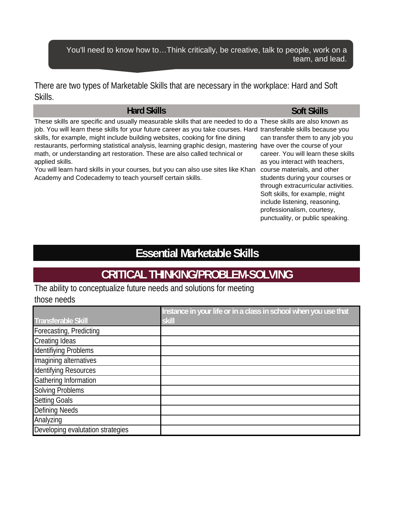You'll need to know how to…Think critically, be creative, talk to people, work on a team, and lead.

There are two types of Marketable Skills that are necessary in the workplace: Hard and Soft Skills.

#### **Hard Skills**

These skills are specific and usually measurable skills that are needed to do a These skills are also known as job. You will learn these skills for your future career as you take courses. Hard transferable skills because you restaurants, performing statistical analysis, learning graphic design, mastering have over the course of your skills, for example, might include building websites, cooking for fine dining math, or understanding art restoration. These are also called technical or applied skills.

You will learn hard skills in your courses, but you can also use sites like Khan course materials, and other Academy and Codecademy to teach yourself certain skills.

#### **Soft Skills**

can transfer them to any job you career. You will learn these skills as you interact with teachers, students during your courses or through extracurricular activities. Soft skills, for example, might include listening, reasoning, professionalism, courtesy, punctuality, or public speaking.

## **Essential Marketable Skills**

### **CRITICAL THINKING/PROBLEM-SOLVING**

The ability to conceptualize future needs and solutions for meeting those needs

|                                   | Instance in your life or in a class in school when you use that |
|-----------------------------------|-----------------------------------------------------------------|
| <b>Transferable Skill</b>         | skill                                                           |
| Forecasting, Predicting           |                                                                 |
| <b>Creating Ideas</b>             |                                                                 |
| <b>Identifiying Problems</b>      |                                                                 |
| Imagining alternatives            |                                                                 |
| <b>Identifying Resources</b>      |                                                                 |
| Gathering Information             |                                                                 |
| <b>Solving Problems</b>           |                                                                 |
| <b>Setting Goals</b>              |                                                                 |
| <b>Defining Needs</b>             |                                                                 |
| Analyzing                         |                                                                 |
| Developing evalutation strategies |                                                                 |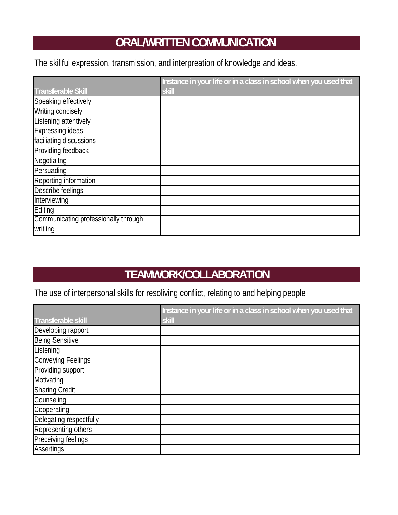## **ORAL/WRITTEN COMMUNICATION**

The skillful expression, transmission, and interpreation of knowledge and ideas.

|                                      | Instance in your life or in a class in school when you used that |
|--------------------------------------|------------------------------------------------------------------|
| <b>Transferable Skill</b>            | skill                                                            |
| Speaking effectively                 |                                                                  |
| Writing concisely                    |                                                                  |
| Listening attentively                |                                                                  |
| <b>Expressing ideas</b>              |                                                                  |
| faciliating discussions              |                                                                  |
| Providing feedback                   |                                                                  |
| Negotiaitng                          |                                                                  |
| Persuading                           |                                                                  |
| Reporting information                |                                                                  |
| Describe feelings                    |                                                                  |
| Interviewing                         |                                                                  |
| Editing                              |                                                                  |
| Communicating professionally through |                                                                  |
| writitng                             |                                                                  |

## **TEAMWORK/COLLABORATION**

The use of interpersonal skills for resoliving conflict, relating to and helping people

|                           | Instance in your life or in a class in school when you used that |
|---------------------------|------------------------------------------------------------------|
| Transferable skill        | skill                                                            |
| Developing rapport        |                                                                  |
| <b>Being Sensitive</b>    |                                                                  |
| Listening                 |                                                                  |
| <b>Conveying Feelings</b> |                                                                  |
| Providing support         |                                                                  |
| Motivating                |                                                                  |
| <b>Sharing Credit</b>     |                                                                  |
| Counseling                |                                                                  |
| Cooperating               |                                                                  |
| Delegating respectfully   |                                                                  |
| Representing others       |                                                                  |
| Preceiving feelings       |                                                                  |
| <b>Assertings</b>         |                                                                  |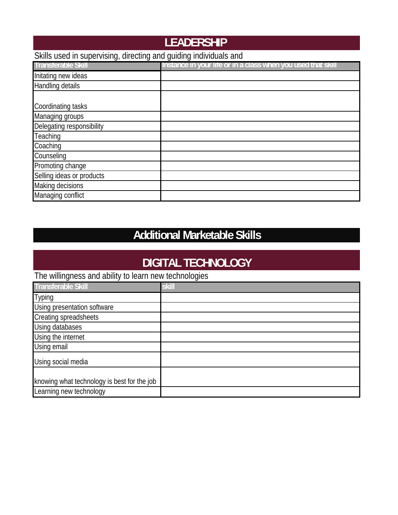## **LEADERSHIP**

### Skills used in supervising, directing and guiding individuals and

| <b>Transferable Skill</b> | Instance in your life or in a class when you used that skill |
|---------------------------|--------------------------------------------------------------|
| Initating new ideas       |                                                              |
| Handling details          |                                                              |
|                           |                                                              |
| Coordinating tasks        |                                                              |
| Managing groups           |                                                              |
| Delegating responsibility |                                                              |
| Teaching                  |                                                              |
| Coaching                  |                                                              |
| Counseling                |                                                              |
| Promoting change          |                                                              |
| Selling ideas or products |                                                              |
| Making decisions          |                                                              |
| Managing conflict         |                                                              |

## **Additional Marketable Skills**

## **DIGITAL TECHNOLOGY**

The willingness and ability to learn new technologies

| <b>Transferable Skill</b>                   | skill |
|---------------------------------------------|-------|
| <b>Typing</b>                               |       |
| Using presentation software                 |       |
| Creating spreadsheets                       |       |
| Using databases                             |       |
| Using the internet                          |       |
| Using email                                 |       |
| Using social media                          |       |
|                                             |       |
| knowing what technology is best for the job |       |
| Learning new technology                     |       |